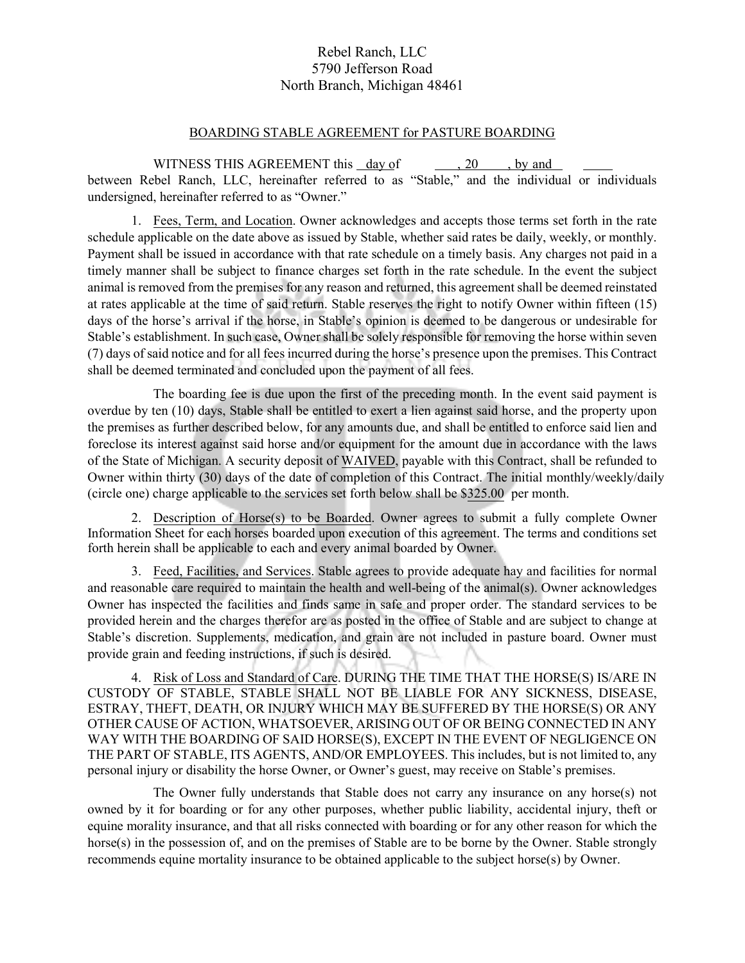## Rebel Ranch, LLC 5790 Jefferson Road North Branch, Michigan 48461

## BOARDING STABLE AGREEMENT for PASTURE BOARDING

WITNESS THIS AGREEMENT this day of , 20, by and between Rebel Ranch, LLC, hereinafter referred to as "Stable," and the individual or individuals undersigned, hereinafter referred to as "Owner."

1. Fees, Term, and Location. Owner acknowledges and accepts those terms set forth in the rate schedule applicable on the date above as issued by Stable, whether said rates be daily, weekly, or monthly. Payment shall be issued in accordance with that rate schedule on a timely basis. Any charges not paid in a timely manner shall be subject to finance charges set forth in the rate schedule. In the event the subject animal is removed from the premises for any reason and returned, this agreement shall be deemed reinstated at rates applicable at the time of said return. Stable reserves the right to notify Owner within fifteen (15) days of the horse's arrival if the horse, in Stable's opinion is deemed to be dangerous or undesirable for Stable's establishment. In such case, Owner shall be solely responsible for removing the horse within seven (7) days of said notice and for all fees incurred during the horse's presence upon the premises. This Contract shall be deemed terminated and concluded upon the payment of all fees.

The boarding fee is due upon the first of the preceding month. In the event said payment is overdue by ten (10) days, Stable shall be entitled to exert a lien against said horse, and the property upon the premises as further described below, for any amounts due, and shall be entitled to enforce said lien and foreclose its interest against said horse and/or equipment for the amount due in accordance with the laws of the State of Michigan. A security deposit of WAIVED, payable with this Contract, shall be refunded to Owner within thirty (30) days of the date of completion of this Contract. The initial monthly/weekly/daily (circle one) charge applicable to the services set forth below shall be \$325.00 per month.

2. Description of Horse(s) to be Boarded. Owner agrees to submit a fully complete Owner Information Sheet for each horses boarded upon execution of this agreement. The terms and conditions set forth herein shall be applicable to each and every animal boarded by Owner.

3. Feed, Facilities, and Services. Stable agrees to provide adequate hay and facilities for normal and reasonable care required to maintain the health and well-being of the animal(s). Owner acknowledges Owner has inspected the facilities and finds same in safe and proper order. The standard services to be provided herein and the charges therefor are as posted in the office of Stable and are subject to change at Stable's discretion. Supplements, medication, and grain are not included in pasture board. Owner must provide grain and feeding instructions, if such is desired.

4. Risk of Loss and Standard of Care. DURING THE TIME THAT THE HORSE(S) IS/ARE IN CUSTODY OF STABLE, STABLE SHALL NOT BE LIABLE FOR ANY SICKNESS, DISEASE, ESTRAY, THEFT, DEATH, OR INJURY WHICH MAY BE SUFFERED BY THE HORSE(S) OR ANY OTHER CAUSE OF ACTION, WHATSOEVER, ARISING OUT OF OR BEING CONNECTED IN ANY WAY WITH THE BOARDING OF SAID HORSE(S), EXCEPT IN THE EVENT OF NEGLIGENCE ON THE PART OF STABLE, ITS AGENTS, AND/OR EMPLOYEES. This includes, but is not limited to, any personal injury or disability the horse Owner, or Owner's guest, may receive on Stable's premises.

The Owner fully understands that Stable does not carry any insurance on any horse(s) not owned by it for boarding or for any other purposes, whether public liability, accidental injury, theft or equine morality insurance, and that all risks connected with boarding or for any other reason for which the horse(s) in the possession of, and on the premises of Stable are to be borne by the Owner. Stable strongly recommends equine mortality insurance to be obtained applicable to the subject horse(s) by Owner.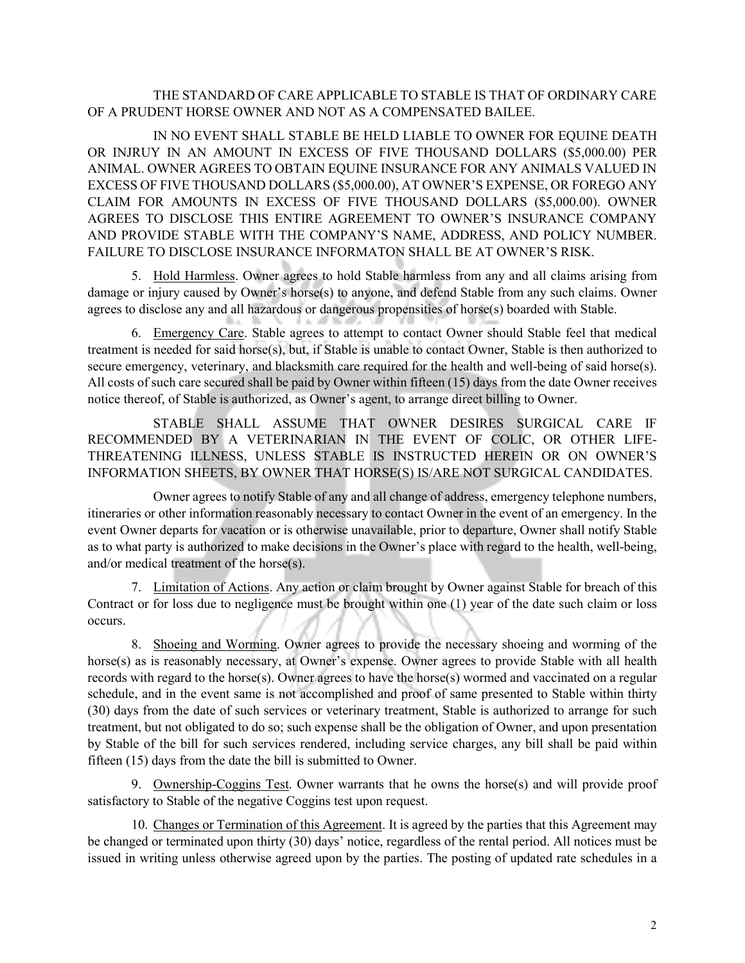## THE STANDARD OF CARE APPLICABLE TO STABLE IS THAT OF ORDINARY CARE OF A PRUDENT HORSE OWNER AND NOT AS A COMPENSATED BAILEE.

IN NO EVENT SHALL STABLE BE HELD LIABLE TO OWNER FOR EQUINE DEATH OR INJRUY IN AN AMOUNT IN EXCESS OF FIVE THOUSAND DOLLARS (\$5,000.00) PER ANIMAL. OWNER AGREES TO OBTAIN EQUINE INSURANCE FOR ANY ANIMALS VALUED IN EXCESS OF FIVE THOUSAND DOLLARS (\$5,000.00), AT OWNER'S EXPENSE, OR FOREGO ANY CLAIM FOR AMOUNTS IN EXCESS OF FIVE THOUSAND DOLLARS (\$5,000.00). OWNER AGREES TO DISCLOSE THIS ENTIRE AGREEMENT TO OWNER'S INSURANCE COMPANY AND PROVIDE STABLE WITH THE COMPANY'S NAME, ADDRESS, AND POLICY NUMBER. FAILURE TO DISCLOSE INSURANCE INFORMATON SHALL BE AT OWNER'S RISK.

5. Hold Harmless. Owner agrees to hold Stable harmless from any and all claims arising from damage or injury caused by Owner's horse(s) to anyone, and defend Stable from any such claims. Owner agrees to disclose any and all hazardous or dangerous propensities of horse(s) boarded with Stable.

6. Emergency Care. Stable agrees to attempt to contact Owner should Stable feel that medical treatment is needed for said horse(s), but, if Stable is unable to contact Owner, Stable is then authorized to secure emergency, veterinary, and blacksmith care required for the health and well-being of said horse(s). All costs of such care secured shall be paid by Owner within fifteen (15) days from the date Owner receives notice thereof, of Stable is authorized, as Owner's agent, to arrange direct billing to Owner.

STABLE SHALL ASSUME THAT OWNER DESIRES SURGICAL CARE IF RECOMMENDED BY A VETERINARIAN IN THE EVENT OF COLIC, OR OTHER LIFE-THREATENING ILLNESS, UNLESS STABLE IS INSTRUCTED HEREIN OR ON OWNER'S INFORMATION SHEETS, BY OWNER THAT HORSE(S) IS/ARE NOT SURGICAL CANDIDATES.

Owner agrees to notify Stable of any and all change of address, emergency telephone numbers, itineraries or other information reasonably necessary to contact Owner in the event of an emergency. In the event Owner departs for vacation or is otherwise unavailable, prior to departure, Owner shall notify Stable as to what party is authorized to make decisions in the Owner's place with regard to the health, well-being, and/or medical treatment of the horse(s).

7. Limitation of Actions. Any action or claim brought by Owner against Stable for breach of this Contract or for loss due to negligence must be brought within one (1) year of the date such claim or loss occurs.

8. Shoeing and Worming. Owner agrees to provide the necessary shoeing and worming of the horse(s) as is reasonably necessary, at Owner's expense. Owner agrees to provide Stable with all health records with regard to the horse(s). Owner agrees to have the horse(s) wormed and vaccinated on a regular schedule, and in the event same is not accomplished and proof of same presented to Stable within thirty (30) days from the date of such services or veterinary treatment, Stable is authorized to arrange for such treatment, but not obligated to do so; such expense shall be the obligation of Owner, and upon presentation by Stable of the bill for such services rendered, including service charges, any bill shall be paid within fifteen (15) days from the date the bill is submitted to Owner.

9. Ownership-Coggins Test. Owner warrants that he owns the horse(s) and will provide proof satisfactory to Stable of the negative Coggins test upon request.

10. Changes or Termination of this Agreement. It is agreed by the parties that this Agreement may be changed or terminated upon thirty (30) days' notice, regardless of the rental period. All notices must be issued in writing unless otherwise agreed upon by the parties. The posting of updated rate schedules in a